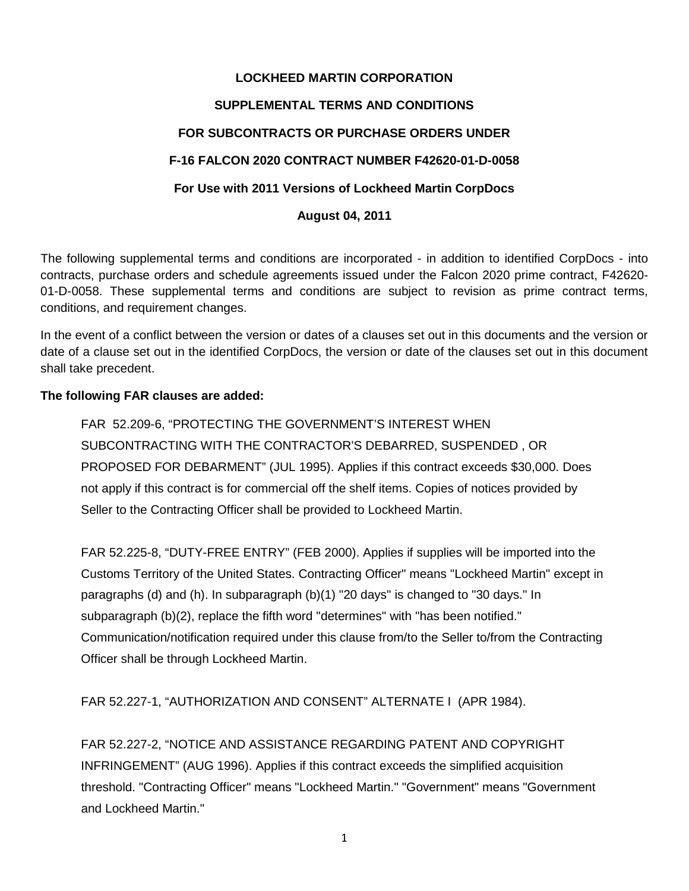### **LOCKHEED MARTIN CORPORATION**

### **SUPPLEMENTAL TERMS AND CONDITIONS**

# **FOR SUBCONTRACTS OR PURCHASE ORDERS UNDER**

# **F-16 FALCON 2020 CONTRACT NUMBER F42620-01-D-0058**

# **For Use with 2011 Versions of Lockheed Martin CorpDocs**

#### **August 04, 2011**

The following supplemental terms and conditions are incorporated - in addition to identified CorpDocs - into contracts, purchase orders and schedule agreements issued under the Falcon 2020 prime contract, F42620- 01-D-0058. These supplemental terms and conditions are subject to revision as prime contract terms, conditions, and requirement changes.

In the event of a conflict between the version or dates of a clauses set out in this documents and the version or date of a clause set out in the identified CorpDocs, the version or date of the clauses set out in this document shall take precedent.

#### **The following FAR clauses are added:**

FAR 52.209-6, "PROTECTING THE GOVERNMENT'S INTEREST WHEN SUBCONTRACTING WITH THE CONTRACTOR'S DEBARRED, SUSPENDED , OR PROPOSED FOR DEBARMENT" (JUL 1995). Applies if this contract exceeds \$30,000. Does not apply if this contract is for commercial off the shelf items. Copies of notices provided by Seller to the Contracting Officer shall be provided to Lockheed Martin.

FAR 52.225-8, "DUTY-FREE ENTRY" (FEB 2000). Applies if supplies will be imported into the Customs Territory of the United States. Contracting Officer" means "Lockheed Martin" except in paragraphs (d) and (h). In subparagraph (b)(1) "20 days" is changed to "30 days." In subparagraph (b)(2), replace the fifth word "determines" with "has been notified." Communication/notification required under this clause from/to the Seller to/from the Contracting Officer shall be through Lockheed Martin.

FAR 52.227-1, "AUTHORIZATION AND CONSENT" ALTERNATE I (APR 1984).

FAR 52.227-2, "NOTICE AND ASSISTANCE REGARDING PATENT AND COPYRIGHT INFRINGEMENT" (AUG 1996). Applies if this contract exceeds the simplified acquisition threshold. "Contracting Officer" means "Lockheed Martin." "Government" means "Government and Lockheed Martin."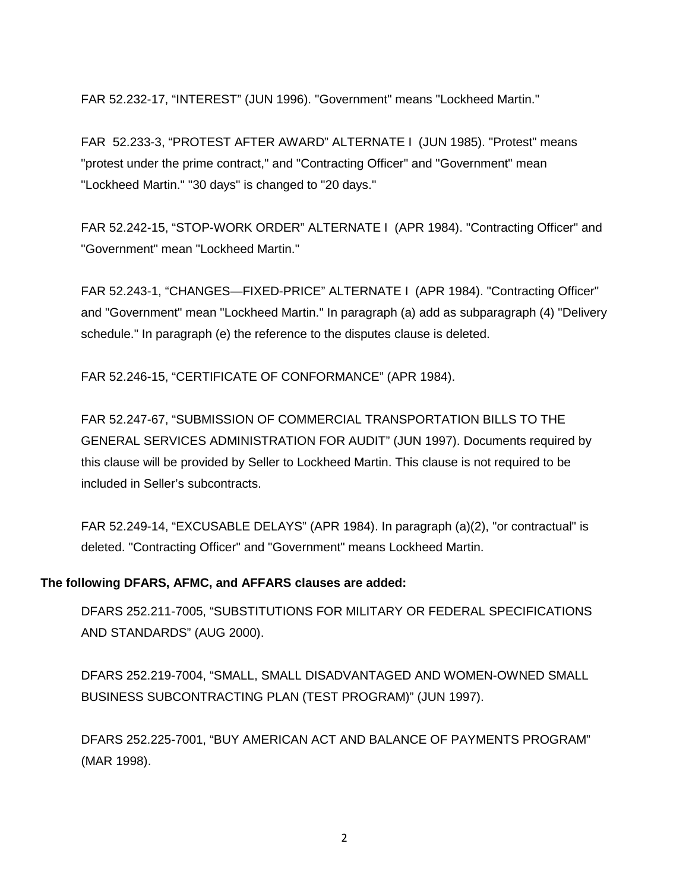FAR 52.232-17, "INTEREST" (JUN 1996). "Government" means "Lockheed Martin."

FAR 52.233-3, "PROTEST AFTER AWARD" ALTERNATE I (JUN 1985). "Protest" means "protest under the prime contract," and "Contracting Officer" and "Government" mean "Lockheed Martin." "30 days" is changed to "20 days."

FAR 52.242-15, "STOP-WORK ORDER" ALTERNATE I (APR 1984). "Contracting Officer" and "Government" mean "Lockheed Martin."

FAR 52.243-1, "CHANGES—FIXED-PRICE" ALTERNATE I (APR 1984). "Contracting Officer" and "Government" mean "Lockheed Martin." In paragraph (a) add as subparagraph (4) "Delivery schedule." In paragraph (e) the reference to the disputes clause is deleted.

FAR 52.246-15, "CERTIFICATE OF CONFORMANCE" (APR 1984).

FAR 52.247-67, "SUBMISSION OF COMMERCIAL TRANSPORTATION BILLS TO THE GENERAL SERVICES ADMINISTRATION FOR AUDIT" (JUN 1997). Documents required by this clause will be provided by Seller to Lockheed Martin. This clause is not required to be included in Seller's subcontracts.

FAR 52.249-14, "EXCUSABLE DELAYS" (APR 1984). In paragraph (a)(2), "or contractual" is deleted. "Contracting Officer" and "Government" means Lockheed Martin.

#### **The following DFARS, AFMC, and AFFARS clauses are added:**

DFARS 252.211-7005, "SUBSTITUTIONS FOR MILITARY OR FEDERAL SPECIFICATIONS AND STANDARDS" (AUG 2000).

DFARS 252.219-7004, "SMALL, SMALL DISADVANTAGED AND WOMEN-OWNED SMALL BUSINESS SUBCONTRACTING PLAN (TEST PROGRAM)" (JUN 1997).

DFARS 252.225-7001, "BUY AMERICAN ACT AND BALANCE OF PAYMENTS PROGRAM" (MAR 1998).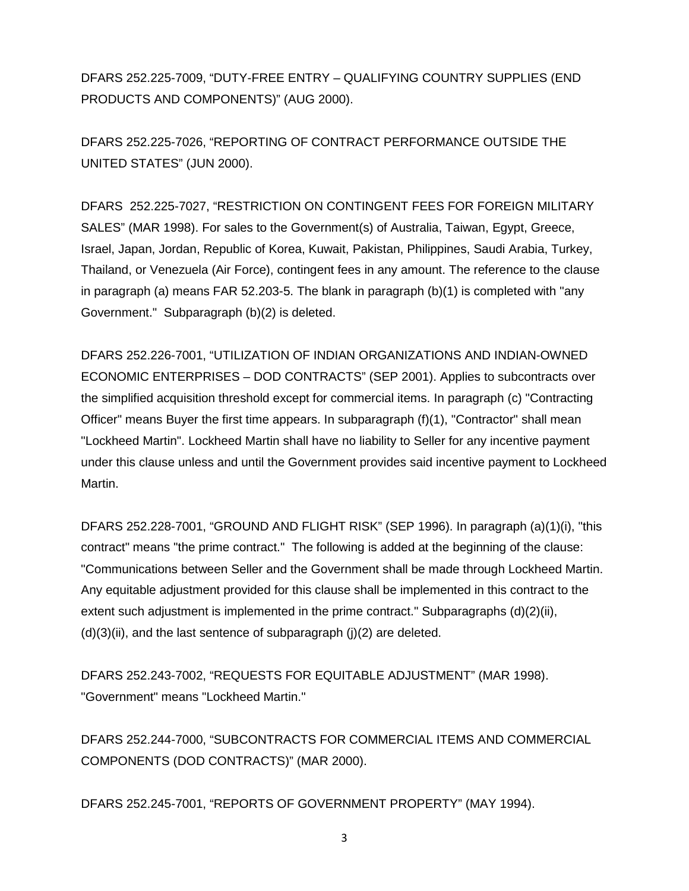DFARS 252.225-7009, "DUTY-FREE ENTRY – QUALIFYING COUNTRY SUPPLIES (END PRODUCTS AND COMPONENTS)" (AUG 2000).

DFARS 252.225-7026, "REPORTING OF CONTRACT PERFORMANCE OUTSIDE THE UNITED STATES" (JUN 2000).

DFARS 252.225-7027, "RESTRICTION ON CONTINGENT FEES FOR FOREIGN MILITARY SALES" (MAR 1998). For sales to the Government(s) of Australia, Taiwan, Egypt, Greece, Israel, Japan, Jordan, Republic of Korea, Kuwait, Pakistan, Philippines, Saudi Arabia, Turkey, Thailand, or Venezuela (Air Force), contingent fees in any amount. The reference to the clause in paragraph (a) means FAR 52.203-5. The blank in paragraph (b)(1) is completed with "any Government." Subparagraph (b)(2) is deleted.

DFARS 252.226-7001, "UTILIZATION OF INDIAN ORGANIZATIONS AND INDIAN-OWNED ECONOMIC ENTERPRISES – DOD CONTRACTS" (SEP 2001). Applies to subcontracts over the simplified acquisition threshold except for commercial items. In paragraph (c) "Contracting Officer" means Buyer the first time appears. In subparagraph (f)(1), "Contractor" shall mean "Lockheed Martin". Lockheed Martin shall have no liability to Seller for any incentive payment under this clause unless and until the Government provides said incentive payment to Lockheed Martin.

DFARS 252.228-7001, "GROUND AND FLIGHT RISK" (SEP 1996). In paragraph (a)(1)(i), "this contract" means "the prime contract." The following is added at the beginning of the clause: "Communications between Seller and the Government shall be made through Lockheed Martin. Any equitable adjustment provided for this clause shall be implemented in this contract to the extent such adjustment is implemented in the prime contract." Subparagraphs (d)(2)(ii),  $(d)(3)(ii)$ , and the last sentence of subparagraph  $(i)(2)$  are deleted.

DFARS 252.243-7002, "REQUESTS FOR EQUITABLE ADJUSTMENT" (MAR 1998). "Government" means "Lockheed Martin."

DFARS 252.244-7000, "SUBCONTRACTS FOR COMMERCIAL ITEMS AND COMMERCIAL COMPONENTS (DOD CONTRACTS)" (MAR 2000).

DFARS 252.245-7001, "REPORTS OF GOVERNMENT PROPERTY" (MAY 1994).